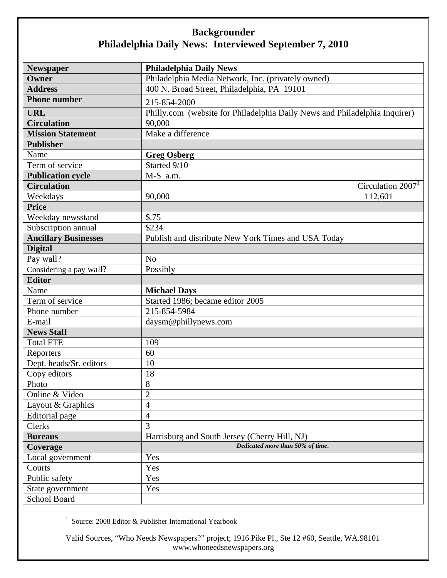## **Backgrounder Philadelphia Daily News: Interviewed September 7, 2010**

| <b>Newspaper</b>            | <b>Philadelphia Daily News</b>                                             |
|-----------------------------|----------------------------------------------------------------------------|
| Owner                       | Philadelphia Media Network, Inc. (privately owned)                         |
| <b>Address</b>              | 400 N. Broad Street, Philadelphia, PA 19101                                |
| <b>Phone number</b>         | 215-854-2000                                                               |
| <b>URL</b>                  | Philly.com (website for Philadelphia Daily News and Philadelphia Inquirer) |
| <b>Circulation</b>          | 90,000                                                                     |
| <b>Mission Statement</b>    | Make a difference                                                          |
| <b>Publisher</b>            |                                                                            |
| Name                        | <b>Greg Osberg</b>                                                         |
| Term of service             | Started 9/10                                                               |
| <b>Publication cycle</b>    | M-S a.m.                                                                   |
| <b>Circulation</b>          | Circulation 2007 <sup>1</sup>                                              |
| Weekdays                    | 90,000<br>112,601                                                          |
| <b>Price</b>                |                                                                            |
| Weekday newsstand           | \$.75                                                                      |
| Subscription annual         | \$234                                                                      |
| <b>Ancillary Businesses</b> | Publish and distribute New York Times and USA Today                        |
| <b>Digital</b>              |                                                                            |
| Pay wall?                   | N <sub>o</sub>                                                             |
| Considering a pay wall?     | Possibly                                                                   |
| <b>Editor</b>               |                                                                            |
| Name                        | <b>Michael Days</b>                                                        |
| Term of service             | Started 1986; became editor 2005                                           |
| Phone number                | 215-854-5984                                                               |
| E-mail                      | daysm@phillynews.com                                                       |
| <b>News Staff</b>           |                                                                            |
| <b>Total FTE</b>            | 109                                                                        |
| Reporters                   | 60                                                                         |
| Dept. heads/Sr. editors     | 10                                                                         |
| Copy editors                | 18                                                                         |
| Photo                       | 8                                                                          |
| Online & Video              | $\overline{2}$                                                             |
| Layout & Graphics           | 4                                                                          |
| Editorial page              | $\overline{4}$                                                             |
| Clerks                      | 3                                                                          |
| <b>Bureaus</b>              | Harrisburg and South Jersey (Cherry Hill, NJ)                              |
| Coverage                    | Dedicated more than 50% of time.                                           |
| Local government            | Yes                                                                        |
| Courts                      | Yes                                                                        |
| Public safety               | Yes                                                                        |
| State government            | Yes                                                                        |
| School Board                |                                                                            |

1 Source: 2008 Editor & Publisher International Yearbook

Valid Sources, "Who Needs Newspapers?" project; 1916 Pike Pl., Ste 12 #60, Seattle, WA.98101 www.whoneedsnewspapers.org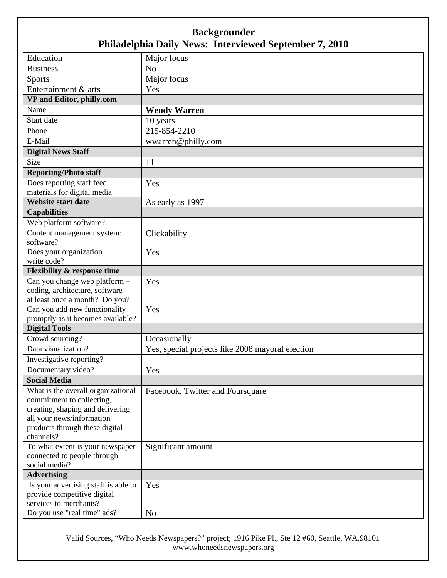## **Backgrounder Philadelphia Daily News: Interviewed September 7, 2010**

| Education                                                       | Major focus                                      |
|-----------------------------------------------------------------|--------------------------------------------------|
| <b>Business</b>                                                 | N <sub>o</sub>                                   |
| <b>Sports</b>                                                   | Major focus                                      |
| Entertainment & arts                                            | Yes                                              |
| VP and Editor, philly.com                                       |                                                  |
| Name                                                            | <b>Wendy Warren</b>                              |
| Start date                                                      | 10 years                                         |
| Phone                                                           | 215-854-2210                                     |
| E-Mail                                                          | wwarren@philly.com                               |
| <b>Digital News Staff</b>                                       |                                                  |
| Size                                                            | 11                                               |
| <b>Reporting/Photo staff</b>                                    |                                                  |
| Does reporting staff feed                                       | Yes                                              |
| materials for digital media                                     |                                                  |
| <b>Website start date</b>                                       | As early as 1997                                 |
| <b>Capabilities</b>                                             |                                                  |
| Web platform software?                                          |                                                  |
| Content management system:                                      | Clickability                                     |
| software?                                                       |                                                  |
| Does your organization                                          | Yes                                              |
| write code?                                                     |                                                  |
| <b>Flexibility &amp; response time</b>                          |                                                  |
| Can you change web platform -                                   | Yes                                              |
| coding, architecture, software --                               |                                                  |
| at least once a month? Do you?                                  |                                                  |
| Can you add new functionality                                   | Yes                                              |
| promptly as it becomes available?                               |                                                  |
| <b>Digital Tools</b>                                            |                                                  |
| Crowd sourcing?                                                 | Occasionally                                     |
| Data visualization?                                             | Yes, special projects like 2008 mayoral election |
| Investigative reporting?                                        |                                                  |
| Documentary video?                                              | Yes                                              |
| <b>Social Media</b>                                             |                                                  |
| What is the overall organizational                              | Facebook, Twitter and Foursquare                 |
| commitment to collecting,                                       |                                                  |
| creating, shaping and delivering                                |                                                  |
| all your news/information                                       |                                                  |
| products through these digital                                  |                                                  |
| channels?                                                       |                                                  |
| To what extent is your newspaper<br>connected to people through | Significant amount                               |
| social media?                                                   |                                                  |
| <b>Advertising</b>                                              |                                                  |
| Is your advertising staff is able to                            | Yes                                              |
| provide competitive digital                                     |                                                  |
| services to merchants?                                          |                                                  |
| Do you use "real time" ads?                                     | N <sub>o</sub>                                   |

Valid Sources, "Who Needs Newspapers?" project; 1916 Pike Pl., Ste 12 #60, Seattle, WA.98101 www.whoneedsnewspapers.org